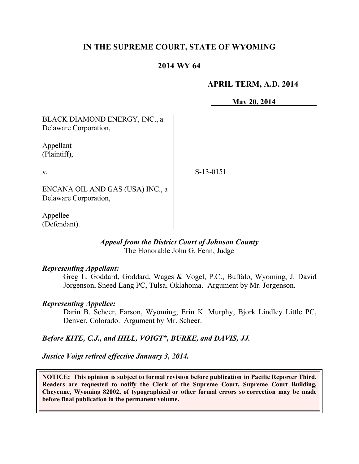## **IN THE SUPREME COURT, STATE OF WYOMING**

## **2014 WY 64**

### **APRIL TERM, A.D. 2014**

**May 20, 2014**

BLACK DIAMOND ENERGY, INC., a Delaware Corporation,

Appellant (Plaintiff),

v.

S-13-0151

ENCANA OIL AND GAS (USA) INC., a Delaware Corporation,

Appellee (Defendant).

#### *Appeal from the District Court of Johnson County* The Honorable John G. Fenn, Judge

### *Representing Appellant:*

Greg L. Goddard, Goddard, Wages & Vogel, P.C., Buffalo, Wyoming; J. David Jorgenson, Sneed Lang PC, Tulsa, Oklahoma. Argument by Mr. Jorgenson.

#### *Representing Appellee:*

Darin B. Scheer, Farson, Wyoming; Erin K. Murphy, Bjork Lindley Little PC, Denver, Colorado. Argument by Mr. Scheer.

### *Before KITE, C.J., and HILL, VOIGT\*, BURKE, and DAVIS, JJ.*

*Justice Voigt retired effective January 3, 2014.*

**NOTICE: This opinion is subject to formal revision before publication in Pacific Reporter Third. Readers are requested to notify the Clerk of the Supreme Court, Supreme Court Building, Cheyenne, Wyoming 82002, of typographical or other formal errors so correction may be made before final publication in the permanent volume.**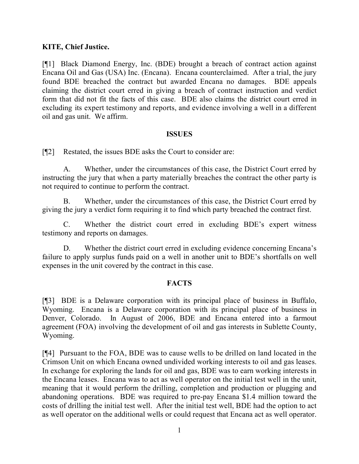## **KITE, Chief Justice.**

[¶1] Black Diamond Energy, Inc. (BDE) brought a breach of contract action against Encana Oil and Gas (USA) Inc. (Encana). Encana counterclaimed. After a trial, the jury found BDE breached the contract but awarded Encana no damages. BDE appeals claiming the district court erred in giving a breach of contract instruction and verdict form that did not fit the facts of this case. BDE also claims the district court erred in excluding its expert testimony and reports, and evidence involving a well in a different oil and gas unit. We affirm.

### **ISSUES**

[¶2] Restated, the issues BDE asks the Court to consider are:

A. Whether, under the circumstances of this case, the District Court erred by instructing the jury that when a party materially breaches the contract the other party is not required to continue to perform the contract.

B. Whether, under the circumstances of this case, the District Court erred by giving the jury a verdict form requiring it to find which party breached the contract first.

C. Whether the district court erred in excluding BDE's expert witness testimony and reports on damages.

D. Whether the district court erred in excluding evidence concerning Encana's failure to apply surplus funds paid on a well in another unit to BDE's shortfalls on well expenses in the unit covered by the contract in this case.

## **FACTS**

[¶3] BDE is a Delaware corporation with its principal place of business in Buffalo, Wyoming. Encana is a Delaware corporation with its principal place of business in Denver, Colorado. In August of 2006, BDE and Encana entered into a farmout agreement (FOA) involving the development of oil and gas interests in Sublette County, Wyoming.

[¶4] Pursuant to the FOA, BDE was to cause wells to be drilled on land located in the Crimson Unit on which Encana owned undivided working interests to oil and gas leases. In exchange for exploring the lands for oil and gas, BDE was to earn working interests in the Encana leases. Encana was to act as well operator on the initial test well in the unit, meaning that it would perform the drilling, completion and production or plugging and abandoning operations. BDE was required to pre-pay Encana \$1.4 million toward the costs of drilling the initial test well. After the initial test well, BDE had the option to act as well operator on the additional wells or could request that Encana act as well operator.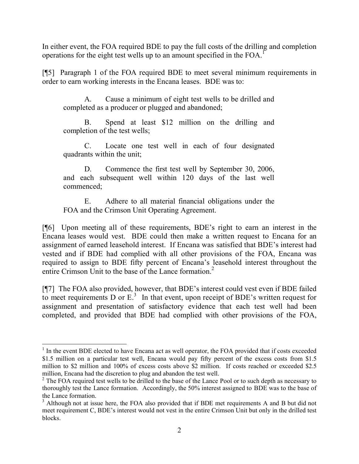In either event, the FOA required BDE to pay the full costs of the drilling and completion operations for the eight test wells up to an amount specified in the FOA.<sup>1</sup>

[¶5] Paragraph 1 of the FOA required BDE to meet several minimum requirements in order to earn working interests in the Encana leases. BDE was to:

A. Cause a minimum of eight test wells to be drilled and completed as a producer or plugged and abandoned;

B. Spend at least \$12 million on the drilling and completion of the test wells;

C. Locate one test well in each of four designated quadrants within the unit;

D. Commence the first test well by September 30, 2006, and each subsequent well within 120 days of the last well commenced;

E. Adhere to all material financial obligations under the FOA and the Crimson Unit Operating Agreement.

[¶6] Upon meeting all of these requirements, BDE's right to earn an interest in the Encana leases would vest. BDE could then make a written request to Encana for an assignment of earned leasehold interest. If Encana was satisfied that BDE's interest had vested and if BDE had complied with all other provisions of the FOA, Encana was required to assign to BDE fifty percent of Encana's leasehold interest throughout the entire Crimson Unit to the base of the Lance formation.<sup>2</sup>

[¶7] The FOA also provided, however, that BDE's interest could vest even if BDE failed to meet requirements D or  $E<sup>3</sup>$ . In that event, upon receipt of BDE's written request for assignment and presentation of satisfactory evidence that each test well had been completed, and provided that BDE had complied with other provisions of the FOA,

<sup>&</sup>lt;sup>1</sup> In the event BDE elected to have Encana act as well operator, the FOA provided that if costs exceeded \$1.5 million on a particular test well, Encana would pay fifty percent of the excess costs from \$1.5 million to \$2 million and 100% of excess costs above \$2 million. If costs reached or exceeded \$2.5 million, Encana had the discretion to plug and abandon the test well.

<sup>&</sup>lt;sup>2</sup> The FOA required test wells to be drilled to the base of the Lance Pool or to such depth as necessary to thoroughly test the Lance formation. Accordingly, the 50% interest assigned to BDE was to the base of the Lance formation.

<sup>&</sup>lt;sup>3</sup> Although not at issue here, the FOA also provided that if BDE met requirements A and B but did not meet requirement C, BDE's interest would not vest in the entire Crimson Unit but only in the drilled test blocks.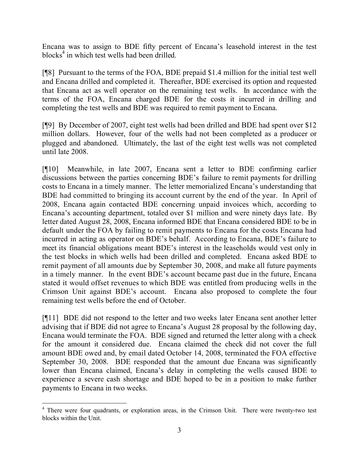Encana was to assign to BDE fifty percent of Encana's leasehold interest in the test blocks<sup>4</sup> in which test wells had been drilled.

[¶8] Pursuant to the terms of the FOA, BDE prepaid \$1.4 million for the initial test well and Encana drilled and completed it. Thereafter, BDE exercised its option and requested that Encana act as well operator on the remaining test wells. In accordance with the terms of the FOA, Encana charged BDE for the costs it incurred in drilling and completing the test wells and BDE was required to remit payment to Encana.

[¶9] By December of 2007, eight test wells had been drilled and BDE had spent over \$12 million dollars. However, four of the wells had not been completed as a producer or plugged and abandoned. Ultimately, the last of the eight test wells was not completed until late 2008.

[¶10] Meanwhile, in late 2007, Encana sent a letter to BDE confirming earlier discussions between the parties concerning BDE's failure to remit payments for drilling costs to Encana in a timely manner. The letter memorialized Encana's understanding that BDE had committed to bringing its account current by the end of the year. In April of 2008, Encana again contacted BDE concerning unpaid invoices which, according to Encana's accounting department, totaled over \$1 million and were ninety days late. By letter dated August 28, 2008, Encana informed BDE that Encana considered BDE to be in default under the FOA by failing to remit payments to Encana for the costs Encana had incurred in acting as operator on BDE's behalf. According to Encana, BDE's failure to meet its financial obligations meant BDE's interest in the leaseholds would vest only in the test blocks in which wells had been drilled and completed. Encana asked BDE to remit payment of all amounts due by September 30, 2008, and make all future payments in a timely manner. In the event BDE's account became past due in the future, Encana stated it would offset revenues to which BDE was entitled from producing wells in the Crimson Unit against BDE's account. Encana also proposed to complete the four remaining test wells before the end of October.

[¶11] BDE did not respond to the letter and two weeks later Encana sent another letter advising that if BDE did not agree to Encana's August 28 proposal by the following day, Encana would terminate the FOA. BDE signed and returned the letter along with a check for the amount it considered due. Encana claimed the check did not cover the full amount BDE owed and, by email dated October 14, 2008, terminated the FOA effective September 30, 2008. BDE responded that the amount due Encana was significantly lower than Encana claimed, Encana's delay in completing the wells caused BDE to experience a severe cash shortage and BDE hoped to be in a position to make further payments to Encana in two weeks.

<sup>&</sup>lt;sup>4</sup> There were four quadrants, or exploration areas, in the Crimson Unit. There were twenty-two test blocks within the Unit.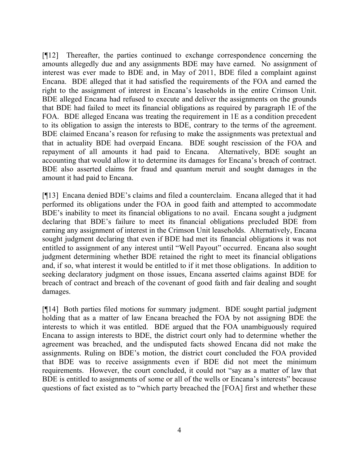[¶12] Thereafter, the parties continued to exchange correspondence concerning the amounts allegedly due and any assignments BDE may have earned. No assignment of interest was ever made to BDE and, in May of 2011, BDE filed a complaint against Encana. BDE alleged that it had satisfied the requirements of the FOA and earned the right to the assignment of interest in Encana's leaseholds in the entire Crimson Unit. BDE alleged Encana had refused to execute and deliver the assignments on the grounds that BDE had failed to meet its financial obligations as required by paragraph 1E of the FOA. BDE alleged Encana was treating the requirement in 1E as a condition precedent to its obligation to assign the interests to BDE, contrary to the terms of the agreement. BDE claimed Encana's reason for refusing to make the assignments was pretextual and that in actuality BDE had overpaid Encana. BDE sought rescission of the FOA and repayment of all amounts it had paid to Encana. Alternatively, BDE sought an accounting that would allow it to determine its damages for Encana's breach of contract. BDE also asserted claims for fraud and quantum meruit and sought damages in the amount it had paid to Encana.

[¶13] Encana denied BDE's claims and filed a counterclaim. Encana alleged that it had performed its obligations under the FOA in good faith and attempted to accommodate BDE's inability to meet its financial obligations to no avail. Encana sought a judgment declaring that BDE's failure to meet its financial obligations precluded BDE from earning any assignment of interest in the Crimson Unit leaseholds. Alternatively, Encana sought judgment declaring that even if BDE had met its financial obligations it was not entitled to assignment of any interest until "Well Payout" occurred. Encana also sought judgment determining whether BDE retained the right to meet its financial obligations and, if so, what interest it would be entitled to if it met those obligations. In addition to seeking declaratory judgment on those issues, Encana asserted claims against BDE for breach of contract and breach of the covenant of good faith and fair dealing and sought damages.

[¶14] Both parties filed motions for summary judgment. BDE sought partial judgment holding that as a matter of law Encana breached the FOA by not assigning BDE the interests to which it was entitled. BDE argued that the FOA unambiguously required Encana to assign interests to BDE, the district court only had to determine whether the agreement was breached, and the undisputed facts showed Encana did not make the assignments. Ruling on BDE's motion, the district court concluded the FOA provided that BDE was to receive assignments even if BDE did not meet the minimum requirements. However, the court concluded, it could not "say as a matter of law that BDE is entitled to assignments of some or all of the wells or Encana's interests" because questions of fact existed as to "which party breached the [FOA] first and whether these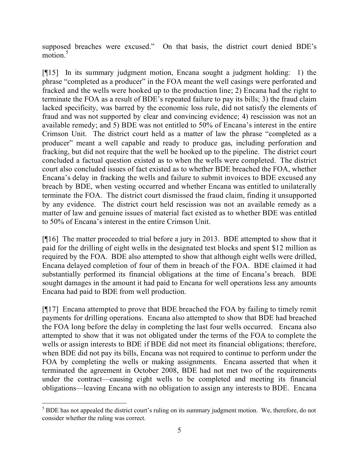supposed breaches were excused." On that basis, the district court denied BDE's  $motion.<sup>5</sup>$ 

[¶15] In its summary judgment motion, Encana sought a judgment holding: 1) the phrase "completed as a producer" in the FOA meant the well casings were perforated and fracked and the wells were hooked up to the production line; 2) Encana had the right to terminate the FOA as a result of BDE's repeated failure to pay its bills; 3) the fraud claim lacked specificity, was barred by the economic loss rule, did not satisfy the elements of fraud and was not supported by clear and convincing evidence; 4) rescission was not an available remedy; and 5) BDE was not entitled to 50% of Encana's interest in the entire Crimson Unit. The district court held as a matter of law the phrase "completed as a producer" meant a well capable and ready to produce gas, including perforation and fracking, but did not require that the well be hooked up to the pipeline. The district court concluded a factual question existed as to when the wells were completed. The district court also concluded issues of fact existed as to whether BDE breached the FOA, whether Encana's delay in fracking the wells and failure to submit invoices to BDE excused any breach by BDE, when vesting occurred and whether Encana was entitled to unilaterally terminate the FOA. The district court dismissed the fraud claim, finding it unsupported by any evidence. The district court held rescission was not an available remedy as a matter of law and genuine issues of material fact existed as to whether BDE was entitled to 50% of Encana's interest in the entire Crimson Unit.

[¶16] The matter proceeded to trial before a jury in 2013. BDE attempted to show that it paid for the drilling of eight wells in the designated test blocks and spent \$12 million as required by the FOA. BDE also attempted to show that although eight wells were drilled, Encana delayed completion of four of them in breach of the FOA. BDE claimed it had substantially performed its financial obligations at the time of Encana's breach. BDE sought damages in the amount it had paid to Encana for well operations less any amounts Encana had paid to BDE from well production.

[¶17] Encana attempted to prove that BDE breached the FOA by failing to timely remit payments for drilling operations. Encana also attempted to show that BDE had breached the FOA long before the delay in completing the last four wells occurred. Encana also attempted to show that it was not obligated under the terms of the FOA to complete the wells or assign interests to BDE if BDE did not meet its financial obligations; therefore, when BDE did not pay its bills, Encana was not required to continue to perform under the FOA by completing the wells or making assignments. Encana asserted that when it terminated the agreement in October 2008, BDE had not met two of the requirements under the contract—causing eight wells to be completed and meeting its financial obligations—leaving Encana with no obligation to assign any interests to BDE. Encana

<sup>&</sup>lt;sup>5</sup> BDE has not appealed the district court's ruling on its summary judgment motion. We, therefore, do not consider whether the ruling was correct.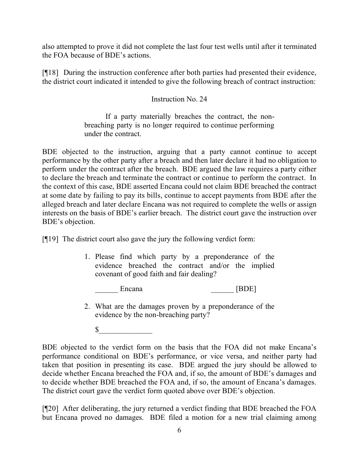also attempted to prove it did not complete the last four test wells until after it terminated the FOA because of BDE's actions.

[¶18] During the instruction conference after both parties had presented their evidence, the district court indicated it intended to give the following breach of contract instruction:

## Instruction No. 24

If a party materially breaches the contract, the nonbreaching party is no longer required to continue performing under the contract.

BDE objected to the instruction, arguing that a party cannot continue to accept performance by the other party after a breach and then later declare it had no obligation to perform under the contract after the breach. BDE argued the law requires a party either to declare the breach and terminate the contract or continue to perform the contract. In the context of this case, BDE asserted Encana could not claim BDE breached the contract at some date by failing to pay its bills, continue to accept payments from BDE after the alleged breach and later declare Encana was not required to complete the wells or assign interests on the basis of BDE's earlier breach. The district court gave the instruction over BDE's objection.

[¶19] The district court also gave the jury the following verdict form:

- 1. Please find which party by a preponderance of the evidence breached the contract and/or the implied covenant of good faith and fair dealing?
	- Encana [BDE]
- 2. What are the damages proven by a preponderance of the evidence by the non-breaching party?

 $\sim$ 

BDE objected to the verdict form on the basis that the FOA did not make Encana's performance conditional on BDE's performance, or vice versa, and neither party had taken that position in presenting its case. BDE argued the jury should be allowed to decide whether Encana breached the FOA and, if so, the amount of BDE's damages and to decide whether BDE breached the FOA and, if so, the amount of Encana's damages. The district court gave the verdict form quoted above over BDE's objection.

[¶20] After deliberating, the jury returned a verdict finding that BDE breached the FOA but Encana proved no damages. BDE filed a motion for a new trial claiming among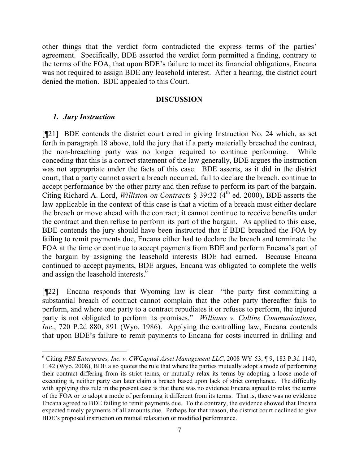other things that the verdict form contradicted the express terms of the parties' agreement. Specifically, BDE asserted the verdict form permitted a finding, contrary to the terms of the FOA, that upon BDE's failure to meet its financial obligations, Encana was not required to assign BDE any leasehold interest. After a hearing, the district court denied the motion. BDE appealed to this Court.

### **DISCUSSION**

## *1. Jury Instruction*

 $\overline{a}$ 

[¶21] BDE contends the district court erred in giving Instruction No. 24 which, as set forth in paragraph 18 above, told the jury that if a party materially breached the contract, the non-breaching party was no longer required to continue performing. While conceding that this is a correct statement of the law generally, BDE argues the instruction was not appropriate under the facts of this case. BDE asserts, as it did in the district court, that a party cannot assert a breach occurred, fail to declare the breach, continue to accept performance by the other party and then refuse to perform its part of the bargain. Citing Richard A. Lord, *Williston on Contracts* § 39:32  $(4<sup>th</sup>$  ed. 2000), BDE asserts the law applicable in the context of this case is that a victim of a breach must either declare the breach or move ahead with the contract; it cannot continue to receive benefits under the contract and then refuse to perform its part of the bargain. As applied to this case, BDE contends the jury should have been instructed that if BDE breached the FOA by failing to remit payments due, Encana either had to declare the breach and terminate the FOA at the time or continue to accept payments from BDE and perform Encana's part of the bargain by assigning the leasehold interests BDE had earned. Because Encana continued to accept payments, BDE argues, Encana was obligated to complete the wells and assign the leasehold interests.<sup>6</sup>

[¶22] Encana responds that Wyoming law is clear—"the party first committing a substantial breach of contract cannot complain that the other party thereafter fails to perform, and where one party to a contract repudiates it or refuses to perform, the injured party is not obligated to perform its promises." *Williams v. Collins Communications, Inc*., 720 P.2d 880, 891 (Wyo. 1986). Applying the controlling law, Encana contends that upon BDE's failure to remit payments to Encana for costs incurred in drilling and

<sup>6</sup> Citing *PBS Enterprises, Inc. v. CWCapital Asset Management LLC*, 2008 WY 53, ¶ 9, 183 P.3d 1140, 1142 (Wyo. 2008), BDE also quotes the rule that where the parties mutually adopt a mode of performing their contract differing from its strict terms, or mutually relax its terms by adopting a loose mode of executing it, neither party can later claim a breach based upon lack of strict compliance. The difficulty with applying this rule in the present case is that there was no evidence Encana agreed to relax the terms of the FOA or to adopt a mode of performing it different from its terms. That is, there was no evidence Encana agreed to BDE failing to remit payments due. To the contrary, the evidence showed that Encana expected timely payments of all amounts due. Perhaps for that reason, the district court declined to give BDE's proposed instruction on mutual relaxation or modified performance.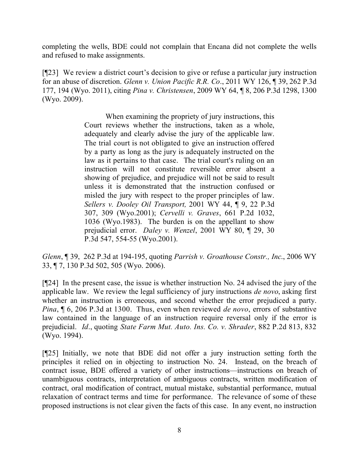completing the wells, BDE could not complain that Encana did not complete the wells and refused to make assignments.

[¶23] We review a district court's decision to give or refuse a particular jury instruction for an abuse of discretion. *Glenn v. Union Pacific R.R. Co*., 2011 WY 126, ¶ 39, 262 P.3d 177, 194 (Wyo. 2011), citing *Pina v. Christensen*, 2009 WY 64, ¶ 8, 206 P.3d 1298, 1300 (Wyo. 2009).

> When examining the propriety of jury instructions, this Court reviews whether the instructions, taken as a whole, adequately and clearly advise the jury of the applicable law. The trial court is not obligated to give an instruction offered by a party as long as the jury is adequately instructed on the law as it pertains to that case. The trial court's ruling on an instruction will not constitute reversible error absent a showing of prejudice, and prejudice will not be said to result unless it is demonstrated that the instruction confused or misled the jury with respect to the proper principles of law. *Sellers v. Dooley Oil Transport,* 2001 WY 44, ¶ 9, 22 P.3d 307, 309 (Wyo.2001); *Cervelli v. Graves*, 661 P.2d 1032, 1036 (Wyo.1983). The burden is on the appellant to show prejudicial error. *Daley v. Wenzel*, 2001 WY 80, ¶ 29, 30 P.3d 547, 554-55 (Wyo.2001).

*Glenn*, ¶ 39, 262 P.3d at 194-195, quoting *Parrish v. Groathouse Constr., Inc*., 2006 WY 33, ¶ 7, 130 P.3d 502, 505 (Wyo. 2006).

[¶24] In the present case, the issue is whether instruction No. 24 advised the jury of the applicable law. We review the legal sufficiency of jury instructions *de novo*, asking first whether an instruction is erroneous, and second whether the error prejudiced a party. *Pina*, ¶ 6, 206 P.3d at 1300. Thus, even when reviewed *de novo*, errors of substantive law contained in the language of an instruction require reversal only if the error is prejudicial. *Id*., quoting *State Farm Mut. Auto. Ins. Co. v. Shrader*, 882 P.2d 813, 832 (Wyo. 1994).

[¶25] Initially, we note that BDE did not offer a jury instruction setting forth the principles it relied on in objecting to instruction No. 24. Instead, on the breach of contract issue, BDE offered a variety of other instructions—instructions on breach of unambiguous contracts, interpretation of ambiguous contracts, written modification of contract, oral modification of contract, mutual mistake, substantial performance, mutual relaxation of contract terms and time for performance. The relevance of some of these proposed instructions is not clear given the facts of this case. In any event, no instruction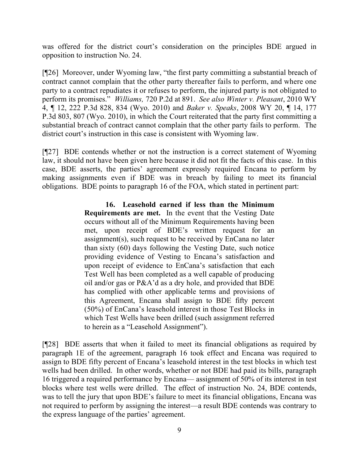was offered for the district court's consideration on the principles BDE argued in opposition to instruction No. 24.

[¶26] Moreover, under Wyoming law, "the first party committing a substantial breach of contract cannot complain that the other party thereafter fails to perform, and where one party to a contract repudiates it or refuses to perform, the injured party is not obligated to perform its promises." *Williams,* 720 P.2d at 891. *See also Winter v. Pleasant*, 2010 WY 4, ¶ 12, 222 P.3d 828, 834 (Wyo. 2010) and *Baker v. Speaks*, 2008 WY 20, ¶ 14, 177 P.3d 803, 807 (Wyo. 2010), in which the Court reiterated that the party first committing a substantial breach of contract cannot complain that the other party fails to perform. The district court's instruction in this case is consistent with Wyoming law.

[¶27] BDE contends whether or not the instruction is a correct statement of Wyoming law, it should not have been given here because it did not fit the facts of this case. In this case, BDE asserts, the parties' agreement expressly required Encana to perform by making assignments even if BDE was in breach by failing to meet its financial obligations. BDE points to paragraph 16 of the FOA, which stated in pertinent part:

> **16. Leasehold earned if less than the Minimum Requirements are met.** In the event that the Vesting Date occurs without all of the Minimum Requirements having been met, upon receipt of BDE's written request for an assignment(s), such request to be received by EnCana no later than sixty (60) days following the Vesting Date, such notice providing evidence of Vesting to Encana's satisfaction and upon receipt of evidence to EnCana's satisfaction that each Test Well has been completed as a well capable of producing oil and/or gas or P&A'd as a dry hole, and provided that BDE has complied with other applicable terms and provisions of this Agreement, Encana shall assign to BDE fifty percent (50%) of EnCana's leasehold interest in those Test Blocks in which Test Wells have been drilled (such assignment referred to herein as a "Leasehold Assignment").

[¶28] BDE asserts that when it failed to meet its financial obligations as required by paragraph 1E of the agreement, paragraph 16 took effect and Encana was required to assign to BDE fifty percent of Encana's leasehold interest in the test blocks in which test wells had been drilled. In other words, whether or not BDE had paid its bills, paragraph 16 triggered a required performance by Encana— assignment of 50% of its interest in test blocks where test wells were drilled. The effect of instruction No. 24, BDE contends, was to tell the jury that upon BDE's failure to meet its financial obligations, Encana was not required to perform by assigning the interest—a result BDE contends was contrary to the express language of the parties' agreement.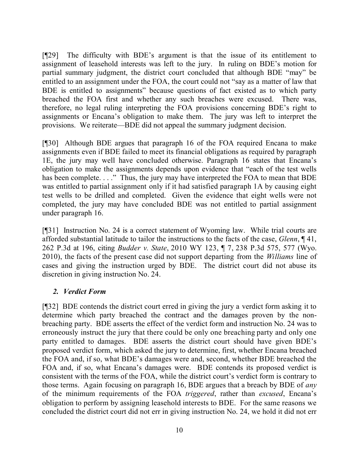[¶29] The difficulty with BDE's argument is that the issue of its entitlement to assignment of leasehold interests was left to the jury. In ruling on BDE's motion for partial summary judgment, the district court concluded that although BDE "may" be entitled to an assignment under the FOA, the court could not "say as a matter of law that BDE is entitled to assignments" because questions of fact existed as to which party breached the FOA first and whether any such breaches were excused. There was, therefore, no legal ruling interpreting the FOA provisions concerning BDE's right to assignments or Encana's obligation to make them. The jury was left to interpret the provisions. We reiterate—BDE did not appeal the summary judgment decision.

[¶30] Although BDE argues that paragraph 16 of the FOA required Encana to make assignments even if BDE failed to meet its financial obligations as required by paragraph 1E, the jury may well have concluded otherwise. Paragraph 16 states that Encana's obligation to make the assignments depends upon evidence that "each of the test wells has been complete. . . ." Thus, the jury may have interpreted the FOA to mean that BDE was entitled to partial assignment only if it had satisfied paragraph 1A by causing eight test wells to be drilled and completed. Given the evidence that eight wells were not completed, the jury may have concluded BDE was not entitled to partial assignment under paragraph 16.

[¶31] Instruction No. 24 is a correct statement of Wyoming law. While trial courts are afforded substantial latitude to tailor the instructions to the facts of the case, *Glenn*, ¶ 41, 262 P.3d at 196, citing *Budder v. State*, 2010 WY 123, ¶ 7, 238 P.3d 575, 577 (Wyo. 2010), the facts of the present case did not support departing from the *Williams* line of cases and giving the instruction urged by BDE. The district court did not abuse its discretion in giving instruction No. 24.

## *2. Verdict Form*

[¶32] BDE contends the district court erred in giving the jury a verdict form asking it to determine which party breached the contract and the damages proven by the nonbreaching party. BDE asserts the effect of the verdict form and instruction No. 24 was to erroneously instruct the jury that there could be only one breaching party and only one party entitled to damages. BDE asserts the district court should have given BDE's proposed verdict form, which asked the jury to determine, first, whether Encana breached the FOA and, if so, what BDE's damages were and, second, whether BDE breached the FOA and, if so, what Encana's damages were. BDE contends its proposed verdict is consistent with the terms of the FOA, while the district court's verdict form is contrary to those terms. Again focusing on paragraph 16, BDE argues that a breach by BDE of *any* of the minimum requirements of the FOA *triggered*, rather than *excused*, Encana's obligation to perform by assigning leasehold interests to BDE. For the same reasons we concluded the district court did not err in giving instruction No. 24, we hold it did not err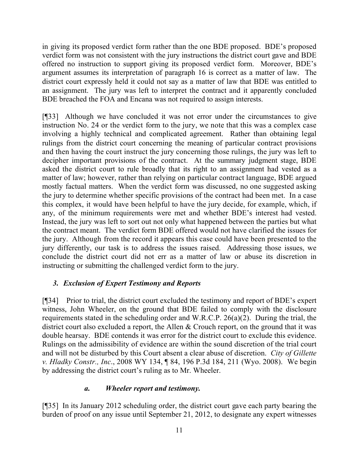in giving its proposed verdict form rather than the one BDE proposed. BDE's proposed verdict form was not consistent with the jury instructions the district court gave and BDE offered no instruction to support giving its proposed verdict form. Moreover, BDE's argument assumes its interpretation of paragraph 16 is correct as a matter of law. The district court expressly held it could not say as a matter of law that BDE was entitled to an assignment. The jury was left to interpret the contract and it apparently concluded BDE breached the FOA and Encana was not required to assign interests.

[¶33] Although we have concluded it was not error under the circumstances to give instruction No. 24 or the verdict form to the jury, we note that this was a complex case involving a highly technical and complicated agreement. Rather than obtaining legal rulings from the district court concerning the meaning of particular contract provisions and then having the court instruct the jury concerning those rulings, the jury was left to decipher important provisions of the contract. At the summary judgment stage, BDE asked the district court to rule broadly that its right to an assignment had vested as a matter of law; however, rather than relying on particular contract language, BDE argued mostly factual matters. When the verdict form was discussed, no one suggested asking the jury to determine whether specific provisions of the contract had been met. In a case this complex, it would have been helpful to have the jury decide, for example, which, if any, of the minimum requirements were met and whether BDE's interest had vested. Instead, the jury was left to sort out not only what happened between the parties but what the contract meant. The verdict form BDE offered would not have clarified the issues for the jury. Although from the record it appears this case could have been presented to the jury differently, our task is to address the issues raised. Addressing those issues, we conclude the district court did not err as a matter of law or abuse its discretion in instructing or submitting the challenged verdict form to the jury.

## *3. Exclusion of Expert Testimony and Reports*

[¶34] Prior to trial, the district court excluded the testimony and report of BDE's expert witness, John Wheeler, on the ground that BDE failed to comply with the disclosure requirements stated in the scheduling order and W.R.C.P. 26(a)(2). During the trial, the district court also excluded a report, the Allen & Crouch report, on the ground that it was double hearsay. BDE contends it was error for the district court to exclude this evidence. Rulings on the admissibility of evidence are within the sound discretion of the trial court and will not be disturbed by this Court absent a clear abuse of discretion. *City of Gillette v. Hladky Constr., Inc*., 2008 WY 134, ¶ 84, 196 P.3d 184, 211 (Wyo. 2008). We begin by addressing the district court's ruling as to Mr. Wheeler.

## *a. Wheeler report and testimony.*

[¶35] In its January 2012 scheduling order, the district court gave each party bearing the burden of proof on any issue until September 21, 2012, to designate any expert witnesses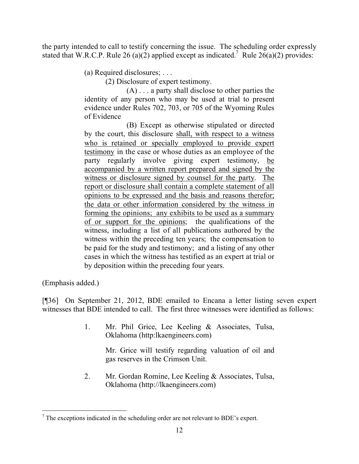the party intended to call to testify concerning the issue. The scheduling order expressly stated that W.R.C.P. Rule 26 (a)(2) applied except as indicated.<sup>7</sup> Rule 26(a)(2) provides:

(a) Required disclosures; . . .

(2) Disclosure of expert testimony.

(A) . . . a party shall disclose to other parties the identity of any person who may be used at trial to present evidence under Rules 702, 703, or 705 of the Wyoming Rules of Evidence

(B) Except as otherwise stipulated or directed by the court, this disclosure shall, with respect to a witness who is retained or specially employed to provide expert testimony in the case or whose duties as an employee of the party regularly involve giving expert testimony, be accompanied by a written report prepared and signed by the witness or disclosure signed by counsel for the party. The report or disclosure shall contain a complete statement of all opinions to be expressed and the basis and reasons therefor; the data or other information considered by the witness in forming the opinions; any exhibits to be used as a summary of or support for the opinions; the qualifications of the witness, including a list of all publications authored by the witness within the preceding ten years; the compensation to be paid for the study and testimony; and a listing of any other cases in which the witness has testified as an expert at trial or by deposition within the preceding four years.

(Emphasis added.)

[¶36] On September 21, 2012, BDE emailed to Encana a letter listing seven expert witnesses that BDE intended to call. The first three witnesses were identified as follows:

> 1. Mr. Phil Grice, Lee Keeling & Associates, Tulsa, Oklahoma (http:lkaengineers.com)

> > Mr. Grice will testify regarding valuation of oil and gas reserves in the Crimson Unit.

2. Mr. Gordan Romine, Lee Keeling & Associates, Tulsa, Oklahoma (http://lkaengineers.com)

 $\overline{a}$ <sup>7</sup> The exceptions indicated in the scheduling order are not relevant to BDE's expert.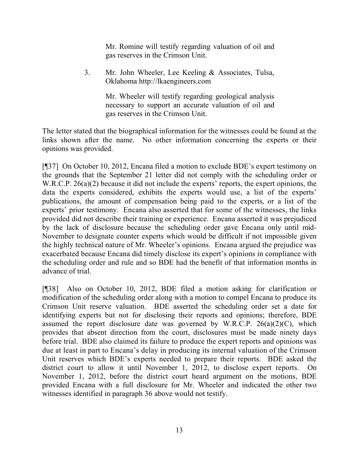Mr. Romine will testify regarding valuation of oil and gas reserves in the Crimson Unit.

3. Mr. John Wheeler, Lee Keeling & Associates, Tulsa, Oklahoma http://lkaengineers.com

> Mr. Wheeler will testify regarding geological analysis necessary to support an accurate valuation of oil and gas reserves in the Crimson Unit.

The letter stated that the biographical information for the witnesses could be found at the links shown after the name. No other information concerning the experts or their opinions was provided.

[¶37] On October 10, 2012, Encana filed a motion to exclude BDE's expert testimony on the grounds that the September 21 letter did not comply with the scheduling order or W.R.C.P. 26(a)(2) because it did not include the experts' reports, the expert opinions, the data the experts considered, exhibits the experts would use, a list of the experts' publications, the amount of compensation being paid to the experts, or a list of the experts' prior testimony. Encana also asserted that for some of the witnesses, the links provided did not describe their training or experience. Encana asserted it was prejudiced by the lack of disclosure because the scheduling order gave Encana only until mid-November to designate counter experts which would be difficult if not impossible given the highly technical nature of Mr. Wheeler's opinions. Encana argued the prejudice was exacerbated because Encana did timely disclose its expert's opinions in compliance with the scheduling order and rule and so BDE had the benefit of that information months in advance of trial.

[¶38] Also on October 10, 2012, BDE filed a motion asking for clarification or modification of the scheduling order along with a motion to compel Encana to produce its Crimson Unit reserve valuation. BDE asserted the scheduling order set a date for identifying experts but not for disclosing their reports and opinions; therefore, BDE assumed the report disclosure date was governed by W.R.C.P.  $26(a)(2)(C)$ , which provides that absent direction from the court, disclosures must be made ninety days before trial. BDE also claimed its failure to produce the expert reports and opinions was due at least in part to Encana's delay in producing its internal valuation of the Crimson Unit reserves which BDE's experts needed to prepare their reports. BDE asked the district court to allow it until November 1, 2012, to disclose expert reports. On November 1, 2012, before the district court heard argument on the motions, BDE provided Encana with a full disclosure for Mr. Wheeler and indicated the other two witnesses identified in paragraph 36 above would not testify.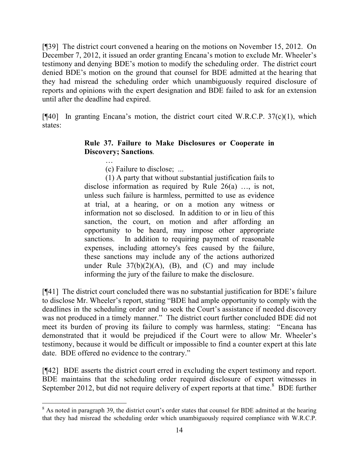[¶39] The district court convened a hearing on the motions on November 15, 2012. On December 7, 2012, it issued an order granting Encana's motion to exclude Mr. Wheeler's testimony and denying BDE's motion to modify the scheduling order. The district court denied BDE's motion on the ground that counsel for BDE admitted at the hearing that they had misread the scheduling order which unambiguously required disclosure of reports and opinions with the expert designation and BDE failed to ask for an extension until after the deadline had expired.

 $[$ [[40] In granting Encana's motion, the district court cited W.R.C.P. 37(c)(1), which states:

### **Rule 37. Failure to Make Disclosures or Cooperate in Discovery; Sanctions**.

… (c) Failure to disclose; ...

(1) A party that without substantial justification fails to disclose information as required by Rule 26(a) …, is not, unless such failure is harmless, permitted to use as evidence at trial, at a hearing, or on a motion any witness or information not so disclosed. In addition to or in lieu of this sanction, the court, on motion and after affording an opportunity to be heard, may impose other appropriate sanctions. In addition to requiring payment of reasonable expenses, including attorney's fees caused by the failure, these sanctions may include any of the actions authorized under Rule  $37(b)(2)(A)$ , (B), and (C) and may include informing the jury of the failure to make the disclosure.

[¶41] The district court concluded there was no substantial justification for BDE's failure to disclose Mr. Wheeler's report, stating "BDE had ample opportunity to comply with the deadlines in the scheduling order and to seek the Court's assistance if needed discovery was not produced in a timely manner." The district court further concluded BDE did not meet its burden of proving its failure to comply was harmless, stating: "Encana has demonstrated that it would be prejudiced if the Court were to allow Mr. Wheeler's testimony, because it would be difficult or impossible to find a counter expert at this late date. BDE offered no evidence to the contrary."

[¶42] BDE asserts the district court erred in excluding the expert testimony and report. BDE maintains that the scheduling order required disclosure of expert witnesses in September 2012, but did not require delivery of expert reports at that time.<sup>8</sup> BDE further

<sup>&</sup>lt;sup>8</sup> As noted in paragraph 39, the district court's order states that counsel for BDE admitted at the hearing that they had misread the scheduling order which unambiguously required compliance with W.R.C.P.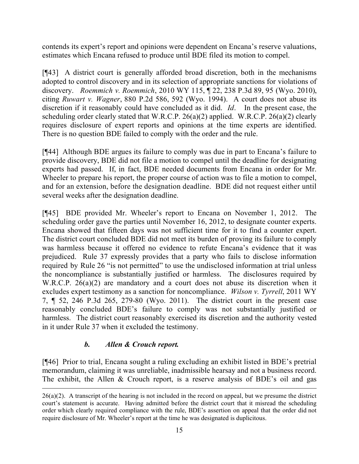contends its expert's report and opinions were dependent on Encana's reserve valuations, estimates which Encana refused to produce until BDE filed its motion to compel.

[¶43] A district court is generally afforded broad discretion, both in the mechanisms adopted to control discovery and in its selection of appropriate sanctions for violations of discovery. *Roemmich v. Roemmich*, 2010 WY 115, ¶ 22, 238 P.3d 89, 95 (Wyo. 2010), citing *Ruwart v. Wagner*, 880 P.2d 586, 592 (Wyo. 1994). A court does not abuse its discretion if it reasonably could have concluded as it did. *Id*. In the present case, the scheduling order clearly stated that W.R.C.P. 26(a)(2) applied. W.R.C.P. 26(a)(2) clearly requires disclosure of expert reports and opinions at the time experts are identified. There is no question BDE failed to comply with the order and the rule.

[¶44] Although BDE argues its failure to comply was due in part to Encana's failure to provide discovery, BDE did not file a motion to compel until the deadline for designating experts had passed. If, in fact, BDE needed documents from Encana in order for Mr. Wheeler to prepare his report, the proper course of action was to file a motion to compel, and for an extension, before the designation deadline. BDE did not request either until several weeks after the designation deadline.

[¶45] BDE provided Mr. Wheeler's report to Encana on November 1, 2012. The scheduling order gave the parties until November 16, 2012, to designate counter experts. Encana showed that fifteen days was not sufficient time for it to find a counter expert. The district court concluded BDE did not meet its burden of proving its failure to comply was harmless because it offered no evidence to refute Encana's evidence that it was prejudiced. Rule 37 expressly provides that a party who fails to disclose information required by Rule 26 "is not permitted" to use the undisclosed information at trial unless the noncompliance is substantially justified or harmless. The disclosures required by W.R.C.P. 26(a)(2) are mandatory and a court does not abuse its discretion when it excludes expert testimony as a sanction for noncompliance. *Wilson v. Tyrrell*, 2011 WY 7, ¶ 52, 246 P.3d 265, 279-80 (Wyo. 2011). The district court in the present case reasonably concluded BDE's failure to comply was not substantially justified or harmless. The district court reasonably exercised its discretion and the authority vested in it under Rule 37 when it excluded the testimony.

# *b. Allen & Crouch report.*

 $\overline{a}$ 

[¶46] Prior to trial, Encana sought a ruling excluding an exhibit listed in BDE's pretrial memorandum, claiming it was unreliable, inadmissible hearsay and not a business record. The exhibit, the Allen & Crouch report, is a reserve analysis of BDE's oil and gas

 $26(a)(2)$ . A transcript of the hearing is not included in the record on appeal, but we presume the district court's statement is accurate. Having admitted before the district court that it misread the scheduling order which clearly required compliance with the rule, BDE's assertion on appeal that the order did not require disclosure of Mr. Wheeler's report at the time he was designated is duplicitous.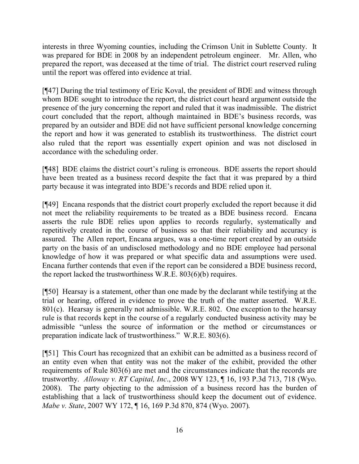interests in three Wyoming counties, including the Crimson Unit in Sublette County. It was prepared for BDE in 2008 by an independent petroleum engineer. Mr. Allen, who prepared the report, was deceased at the time of trial. The district court reserved ruling until the report was offered into evidence at trial.

[¶47] During the trial testimony of Eric Koval, the president of BDE and witness through whom BDE sought to introduce the report, the district court heard argument outside the presence of the jury concerning the report and ruled that it was inadmissible. The district court concluded that the report, although maintained in BDE's business records, was prepared by an outsider and BDE did not have sufficient personal knowledge concerning the report and how it was generated to establish its trustworthiness. The district court also ruled that the report was essentially expert opinion and was not disclosed in accordance with the scheduling order.

[¶48] BDE claims the district court's ruling is erroneous. BDE asserts the report should have been treated as a business record despite the fact that it was prepared by a third party because it was integrated into BDE's records and BDE relied upon it.

[¶49] Encana responds that the district court properly excluded the report because it did not meet the reliability requirements to be treated as a BDE business record. Encana asserts the rule BDE relies upon applies to records regularly, systematically and repetitively created in the course of business so that their reliability and accuracy is assured. The Allen report, Encana argues, was a one-time report created by an outside party on the basis of an undisclosed methodology and no BDE employee had personal knowledge of how it was prepared or what specific data and assumptions were used. Encana further contends that even if the report can be considered a BDE business record, the report lacked the trustworthiness W.R.E. 803(6)(b) requires.

[¶50] Hearsay is a statement, other than one made by the declarant while testifying at the trial or hearing, offered in evidence to prove the truth of the matter asserted. W.R.E. 801(c). Hearsay is generally not admissible. W.R.E. 802. One exception to the hearsay rule is that records kept in the course of a regularly conducted business activity may be admissible "unless the source of information or the method or circumstances or preparation indicate lack of trustworthiness." W.R.E. 803(6).

[¶51] This Court has recognized that an exhibit can be admitted as a business record of an entity even when that entity was not the maker of the exhibit, provided the other requirements of Rule 803(6) are met and the circumstances indicate that the records are trustworthy. *Alloway v. RT Capital, Inc*., 2008 WY 123, ¶ 16, 193 P.3d 713, 718 (Wyo. 2008). The party objecting to the admission of a business record has the burden of establishing that a lack of trustworthiness should keep the document out of evidence. *Mabe v. State*, 2007 WY 172, ¶ 16, 169 P.3d 870, 874 (Wyo. 2007).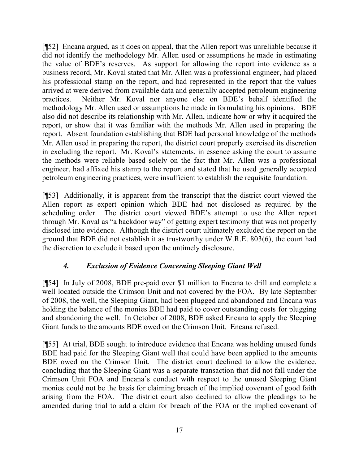[¶52] Encana argued, as it does on appeal, that the Allen report was unreliable because it did not identify the methodology Mr. Allen used or assumptions he made in estimating the value of BDE's reserves. As support for allowing the report into evidence as a business record, Mr. Koval stated that Mr. Allen was a professional engineer, had placed his professional stamp on the report, and had represented in the report that the values arrived at were derived from available data and generally accepted petroleum engineering practices. Neither Mr. Koval nor anyone else on BDE's behalf identified the methodology Mr. Allen used or assumptions he made in formulating his opinions. BDE also did not describe its relationship with Mr. Allen, indicate how or why it acquired the report, or show that it was familiar with the methods Mr. Allen used in preparing the report. Absent foundation establishing that BDE had personal knowledge of the methods Mr. Allen used in preparing the report, the district court properly exercised its discretion in excluding the report. Mr. Koval's statements, in essence asking the court to assume the methods were reliable based solely on the fact that Mr. Allen was a professional engineer, had affixed his stamp to the report and stated that he used generally accepted petroleum engineering practices, were insufficient to establish the requisite foundation.

[¶53] Additionally, it is apparent from the transcript that the district court viewed the Allen report as expert opinion which BDE had not disclosed as required by the scheduling order. The district court viewed BDE's attempt to use the Allen report through Mr. Koval as "a backdoor way" of getting expert testimony that was not properly disclosed into evidence. Although the district court ultimately excluded the report on the ground that BDE did not establish it as trustworthy under W.R.E. 803(6), the court had the discretion to exclude it based upon the untimely disclosure.

## *4. Exclusion of Evidence Concerning Sleeping Giant Well*

[¶54] In July of 2008, BDE pre-paid over \$1 million to Encana to drill and complete a well located outside the Crimson Unit and not covered by the FOA. By late September of 2008, the well, the Sleeping Giant, had been plugged and abandoned and Encana was holding the balance of the monies BDE had paid to cover outstanding costs for plugging and abandoning the well. In October of 2008, BDE asked Encana to apply the Sleeping Giant funds to the amounts BDE owed on the Crimson Unit. Encana refused.

[¶55] At trial, BDE sought to introduce evidence that Encana was holding unused funds BDE had paid for the Sleeping Giant well that could have been applied to the amounts BDE owed on the Crimson Unit. The district court declined to allow the evidence, concluding that the Sleeping Giant was a separate transaction that did not fall under the Crimson Unit FOA and Encana's conduct with respect to the unused Sleeping Giant monies could not be the basis for claiming breach of the implied covenant of good faith arising from the FOA. The district court also declined to allow the pleadings to be amended during trial to add a claim for breach of the FOA or the implied covenant of